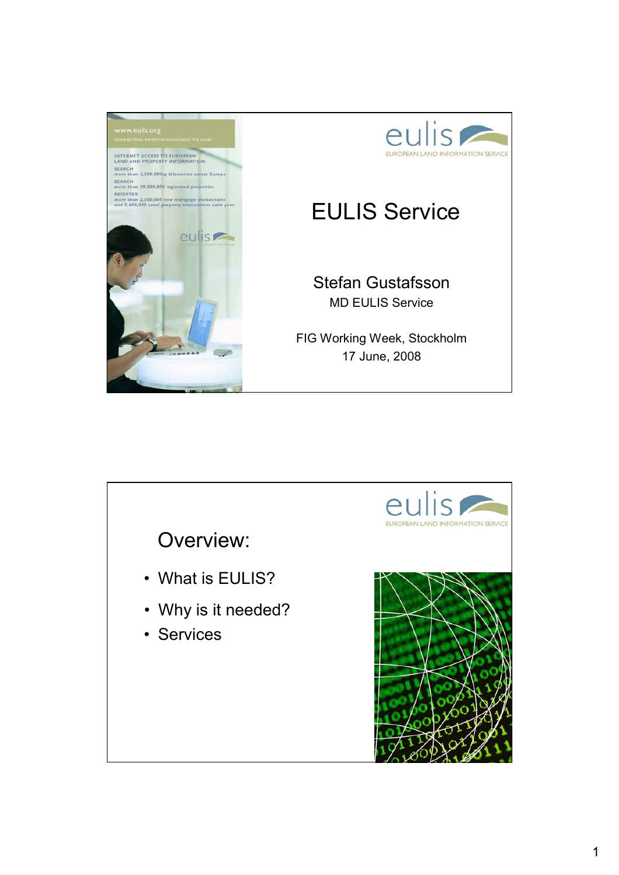

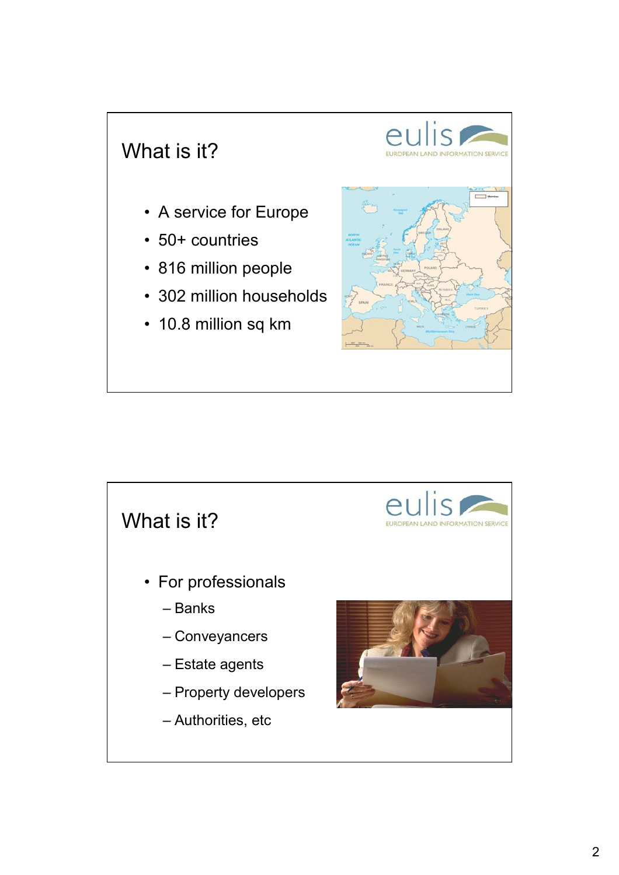## What is it?

- A service for Europe
- 50+ countries
- 816 million people
- 302 million households
- 10.8 million sq km



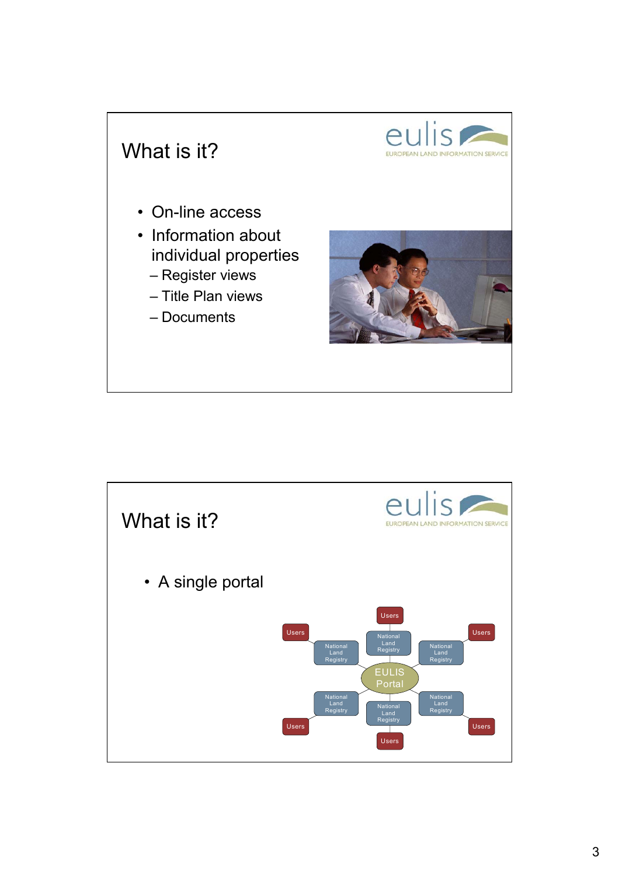

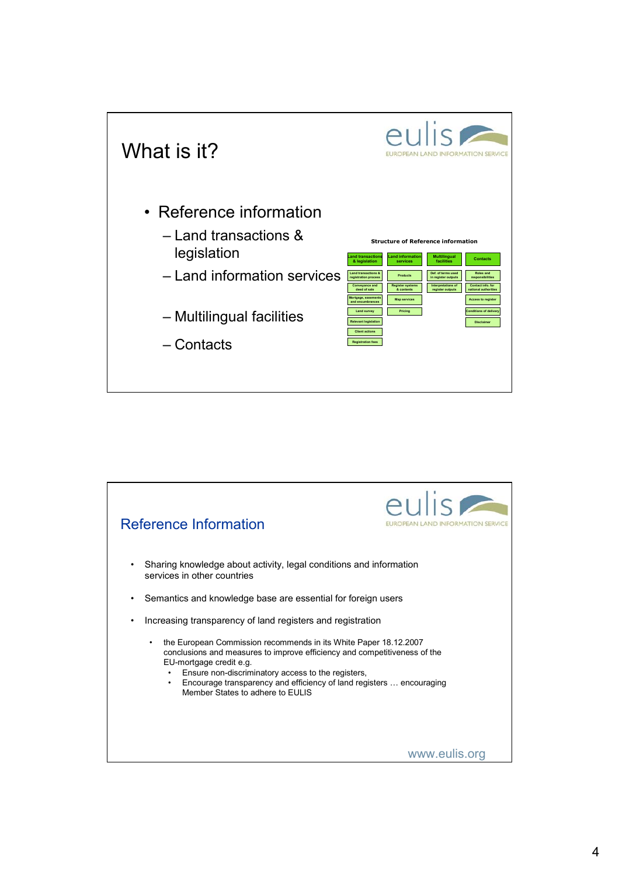

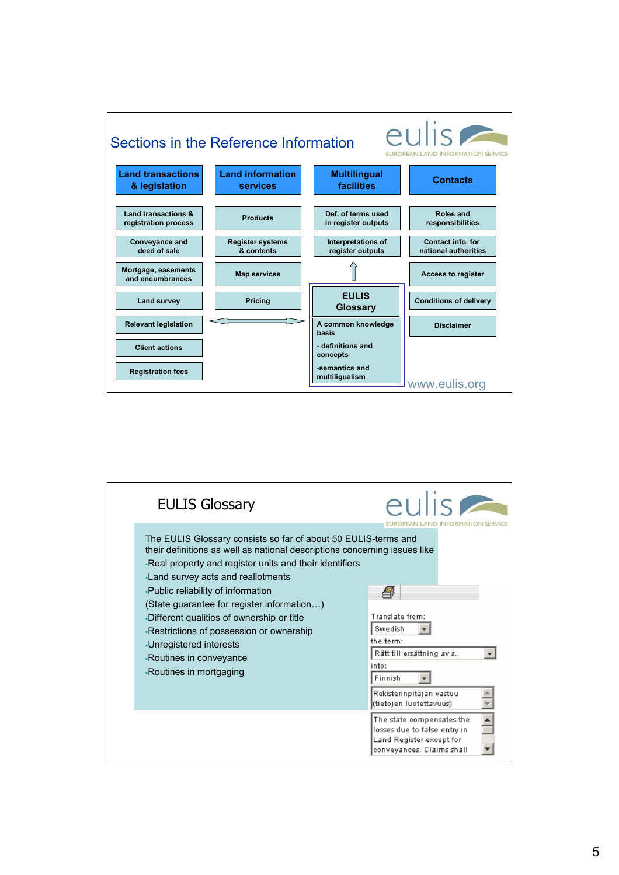

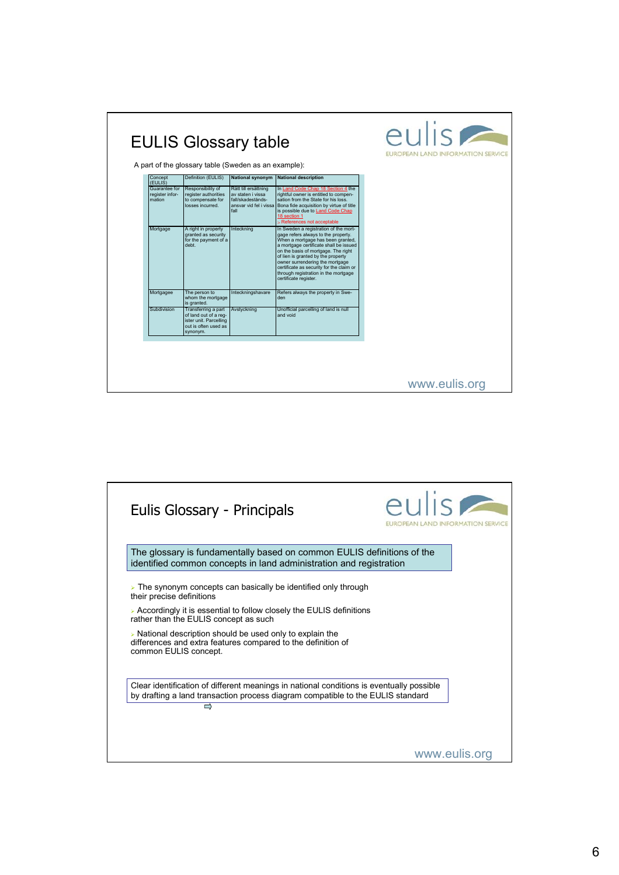| Concept<br>(EULIS)                         | Definition (EULIS)                                                                                         | <b>National synonym</b>                                                | <b>National description</b>                                                                                                                                                                                                                                                                                                                                                              |  |
|--------------------------------------------|------------------------------------------------------------------------------------------------------------|------------------------------------------------------------------------|------------------------------------------------------------------------------------------------------------------------------------------------------------------------------------------------------------------------------------------------------------------------------------------------------------------------------------------------------------------------------------------|--|
| Guarantee for<br>register infor-<br>mation | Responsibility of<br>register authorities<br>to compensate for<br>losses incurred.                         | Rätt till ersättning<br>av staten i vissa<br>fall/skadestånds-<br>fall | In Land Code Chap 18 Section 4 the<br>rightful owner is entitled to compen-<br>sation from the State for his loss.<br>ansvar vid fel i vissa Bona fide acquisition by virtue of title<br>is possible due to Land Code Chap<br>18 section 1<br>> References not acceptable                                                                                                                |  |
| Mortgage                                   | A right in property<br>granted as security<br>for the payment of a<br>debt.                                | Inteckning                                                             | In Sweden a registration of the mort-<br>gage refers always to the property.<br>When a mortgage has been granted,<br>a mortgage certificate shall be issued<br>on the basis of mortgage. The right<br>of lien is granted by the property<br>owner surrendering the mortgage<br>certificate as security for the claim or<br>through registration in the mortgage<br>certificate register. |  |
| Mortgagee                                  | The person to<br>whom the mortgage<br>is granted.                                                          | Inteckningshavare                                                      | Refers always the property in Swe-<br>den                                                                                                                                                                                                                                                                                                                                                |  |
| Subdivision                                | Transferring a part<br>of land out of a reg-<br>ister unit. Parcelling<br>out is often used as<br>synonym. | Avstyckning                                                            | Unofficial parcelling of land is null<br>and void                                                                                                                                                                                                                                                                                                                                        |  |

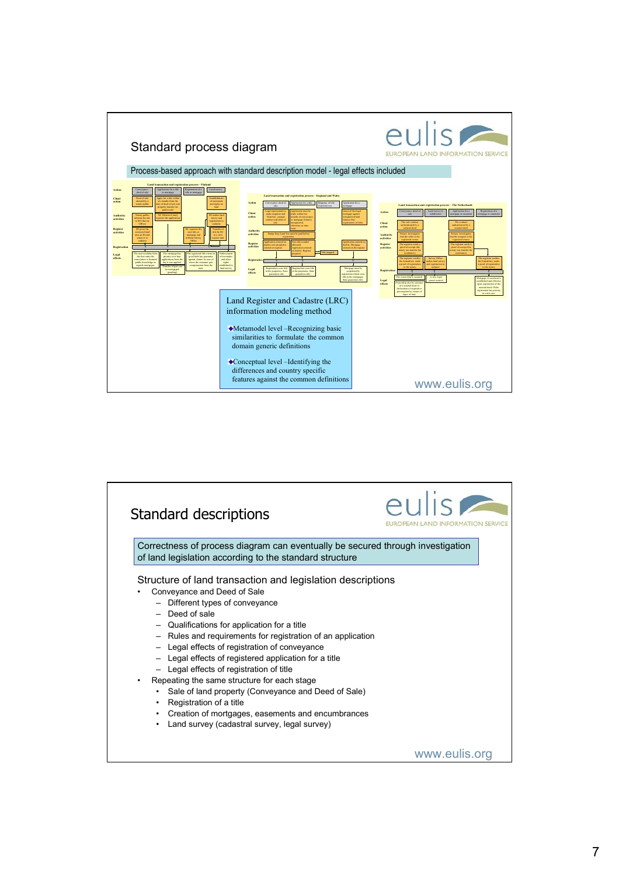

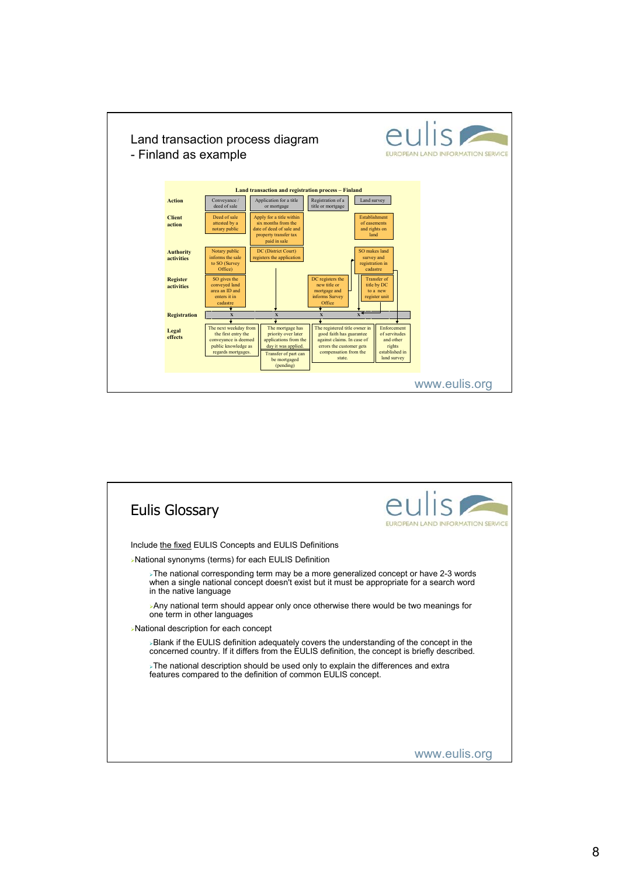

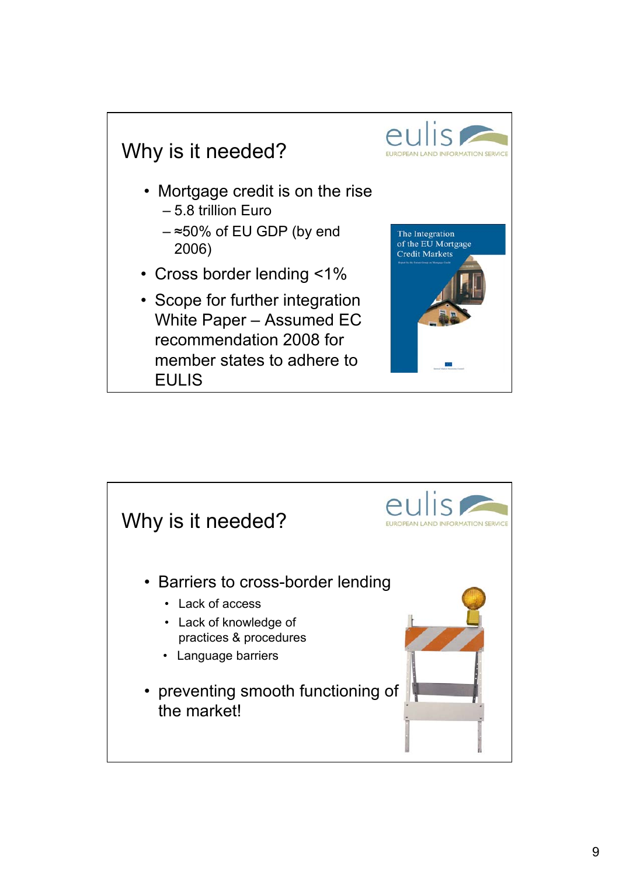

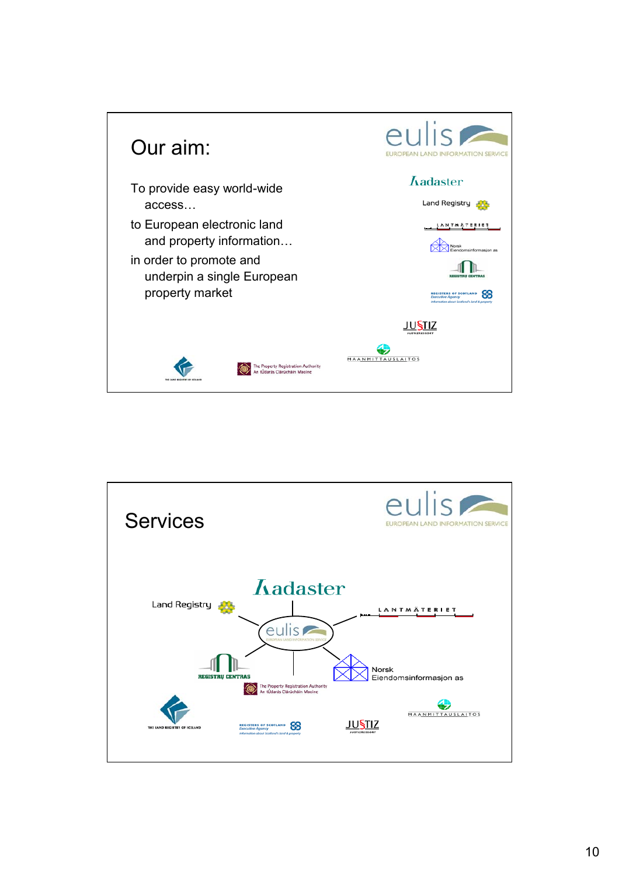

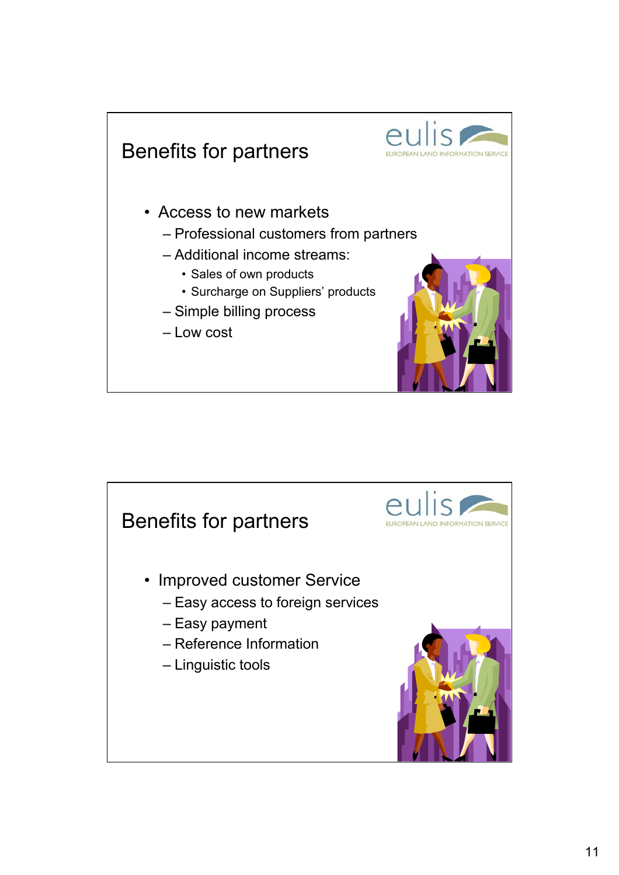